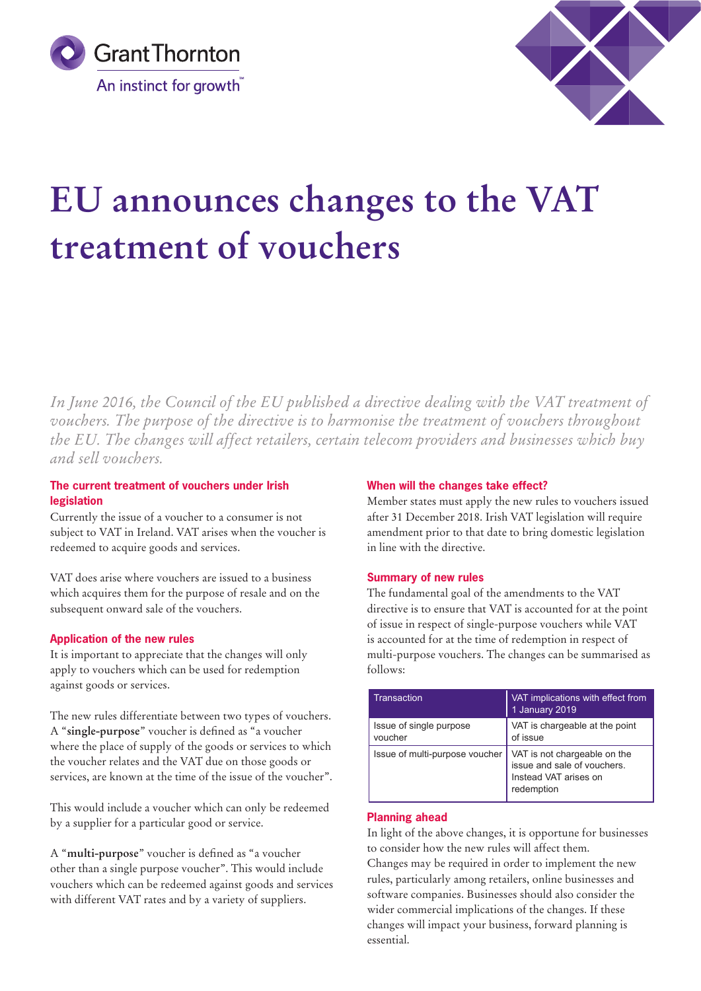



# **EU announces changes to the VAT treatment of vouchers**

*In June 2016, the Council of the EU published a directive dealing with the VAT treatment of vouchers. The purpose of the directive is to harmonise the treatment of vouchers throughout the EU. The changes will affect retailers, certain telecom providers and businesses which buy and sell vouchers.*

# **The current treatment of vouchers under Irish legislation**

Currently the issue of a voucher to a consumer is not subject to VAT in Ireland. VAT arises when the voucher is redeemed to acquire goods and services.

VAT does arise where vouchers are issued to a business which acquires them for the purpose of resale and on the subsequent onward sale of the vouchers.

## **Application of the new rules**

It is important to appreciate that the changes will only apply to vouchers which can be used for redemption against goods or services.

The new rules differentiate between two types of vouchers. A "**single-purpose**" voucher is defined as "a voucher where the place of supply of the goods or services to which the voucher relates and the VAT due on those goods or services, are known at the time of the issue of the voucher".

This would include a voucher which can only be redeemed by a supplier for a particular good or service.

A "**multi-purpose**" voucher is defined as "a voucher other than a single purpose voucher". This would include vouchers which can be redeemed against goods and services with different VAT rates and by a variety of suppliers.

#### **When will the changes take effect?**

Member states must apply the new rules to vouchers issued after 31 December 2018. Irish VAT legislation will require amendment prior to that date to bring domestic legislation in line with the directive.

## **Summary of new rules**

The fundamental goal of the amendments to the VAT directive is to ensure that VAT is accounted for at the point of issue in respect of single-purpose vouchers while VAT is accounted for at the time of redemption in respect of multi-purpose vouchers. The changes can be summarised as follows:

| Transaction                        | VAT implications with effect from<br>1 January 2019                                                |
|------------------------------------|----------------------------------------------------------------------------------------------------|
| Issue of single purpose<br>voucher | VAT is chargeable at the point<br>of issue                                                         |
| Issue of multi-purpose voucher     | VAT is not chargeable on the<br>issue and sale of vouchers.<br>Instead VAT arises on<br>redemption |

## **Planning ahead**

In light of the above changes, it is opportune for businesses to consider how the new rules will affect them.

Changes may be required in order to implement the new rules, particularly among retailers, online businesses and software companies. Businesses should also consider the wider commercial implications of the changes. If these changes will impact your business, forward planning is essential.